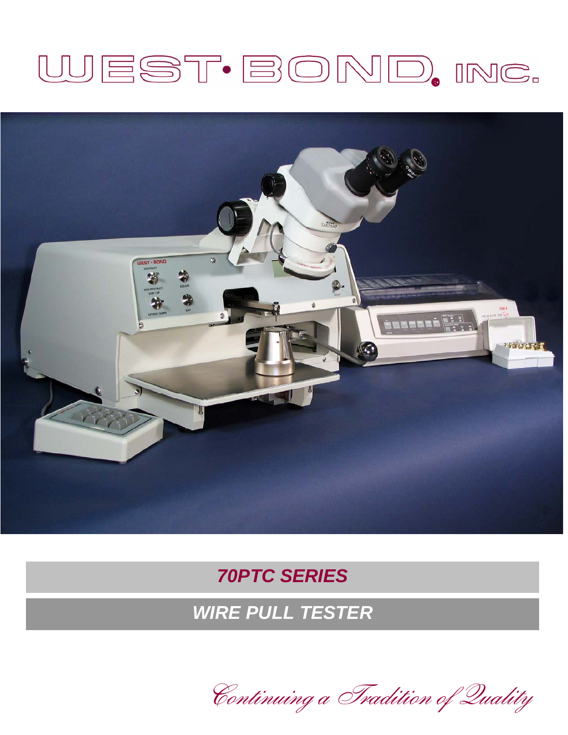# WEST·BOND, INC.



### *70PTC SERIES*

## *WIRE PULL TESTER*

Continuing a Tradition of Quality